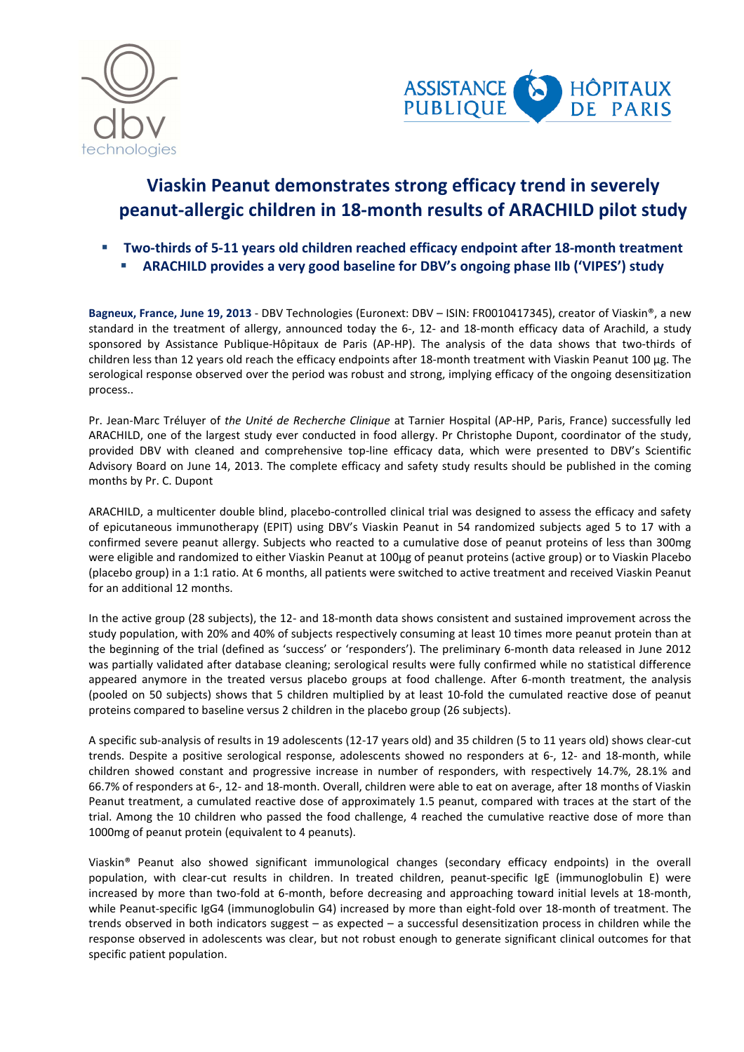



# **Viaskin Peanut demonstrates strong efficacy trend in severely peanut-allergic children in 18-month results of ARACHILD pilot study**

- **Two-thirds of 5-11 years old children reached efficacy endpoint after 18-month treatment** 
	- **ARACHILD provides a very good baseline for DBV's ongoing phase IIb ('VIPES') study**

**Bagneux, France, June 19, 2013** - DBV Technologies (Euronext: DBV – ISIN: FR0010417345), creator of Viaskin®, a new standard in the treatment of allergy, announced today the 6-, 12- and 18-month efficacy data of Arachild, a study sponsored by Assistance Publique-Hôpitaux de Paris (AP-HP). The analysis of the data shows that two-thirds of children less than 12 years old reach the efficacy endpoints after 18-month treatment with Viaskin Peanut 100 µg. The serological response observed over the period was robust and strong, implying efficacy of the ongoing desensitization process..

Pr. Jean-Marc Tréluyer of *the Unité de Recherche Clinique* at Tarnier Hospital (AP-HP, Paris, France) successfully led ARACHILD, one of the largest study ever conducted in food allergy. Pr Christophe Dupont, coordinator of the study, provided DBV with cleaned and comprehensive top-line efficacy data, which were presented to DBV's Scientific Advisory Board on June 14, 2013. The complete efficacy and safety study results should be published in the coming months by Pr. C. Dupont

ARACHILD, a multicenter double blind, placebo-controlled clinical trial was designed to assess the efficacy and safety of epicutaneous immunotherapy (EPIT) using DBV's Viaskin Peanut in 54 randomized subjects aged 5 to 17 with a confirmed severe peanut allergy. Subjects who reacted to a cumulative dose of peanut proteins of less than 300mg were eligible and randomized to either Viaskin Peanut at 100µg of peanut proteins (active group) or to Viaskin Placebo (placebo group) in a 1:1 ratio. At 6 months, all patients were switched to active treatment and received Viaskin Peanut for an additional 12 months.

In the active group (28 subjects), the 12- and 18-month data shows consistent and sustained improvement across the study population, with 20% and 40% of subjects respectively consuming at least 10 times more peanut protein than at the beginning of the trial (defined as 'success' or 'responders'). The preliminary 6-month data released in June 2012 was partially validated after database cleaning; serological results were fully confirmed while no statistical difference appeared anymore in the treated versus placebo groups at food challenge. After 6-month treatment, the analysis (pooled on 50 subjects) shows that 5 children multiplied by at least 10-fold the cumulated reactive dose of peanut proteins compared to baseline versus 2 children in the placebo group (26 subjects).

A specific sub-analysis of results in 19 adolescents (12-17 years old) and 35 children (5 to 11 years old) shows clear-cut trends. Despite a positive serological response, adolescents showed no responders at 6-, 12- and 18-month, while children showed constant and progressive increase in number of responders, with respectively 14.7%, 28.1% and 66.7% of responders at 6-, 12- and 18-month. Overall, children were able to eat on average, after 18 months of Viaskin Peanut treatment, a cumulated reactive dose of approximately 1.5 peanut, compared with traces at the start of the trial. Among the 10 children who passed the food challenge, 4 reached the cumulative reactive dose of more than 1000mg of peanut protein (equivalent to 4 peanuts).

Viaskin® Peanut also showed significant immunological changes (secondary efficacy endpoints) in the overall population, with clear-cut results in children. In treated children, peanut-specific IgE (immunoglobulin E) were increased by more than two-fold at 6-month, before decreasing and approaching toward initial levels at 18-month, while Peanut-specific IgG4 (immunoglobulin G4) increased by more than eight-fold over 18-month of treatment. The trends observed in both indicators suggest – as expected – a successful desensitization process in children while the response observed in adolescents was clear, but not robust enough to generate significant clinical outcomes for that specific patient population.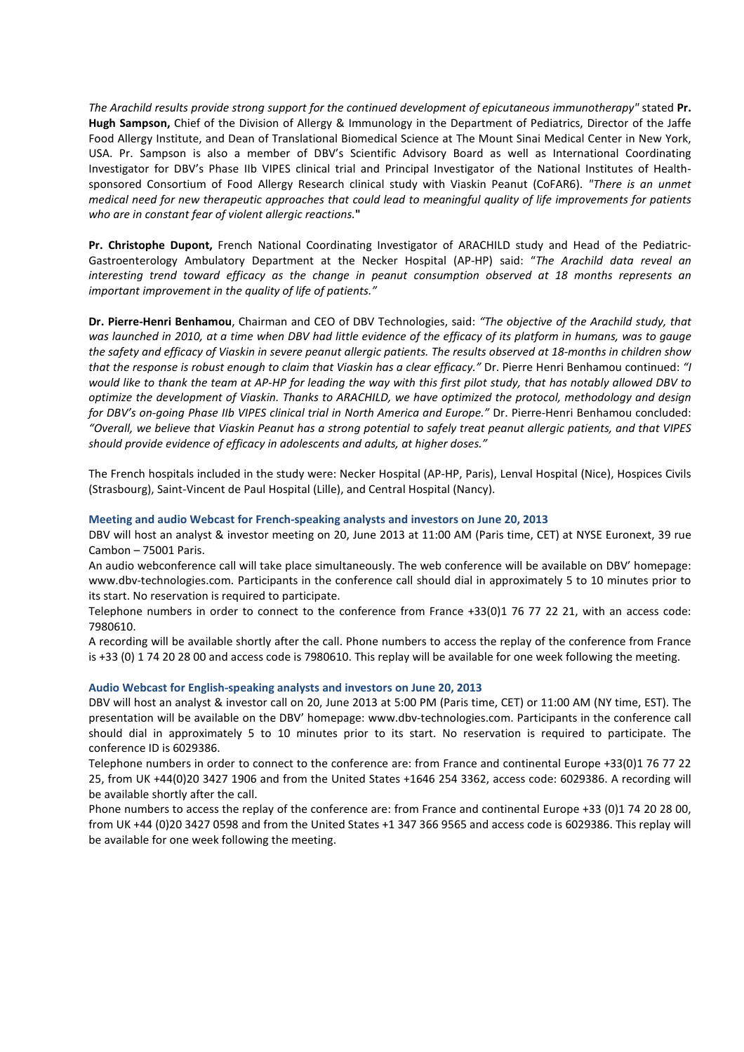*The Arachild results provide strong support for the continued development of epicutaneous immunotherapy"* stated **Pr. Hugh Sampson,** Chief of the Division of Allergy & Immunology in the Department of Pediatrics, Director of the Jaffe Food Allergy Institute, and Dean of Translational Biomedical Science at The Mount Sinai Medical Center in New York, USA. Pr. Sampson is also a member of DBV's Scientific Advisory Board as well as International Coordinating Investigator for DBV's Phase IIb VIPES clinical trial and Principal Investigator of the National Institutes of Healthsponsored Consortium of Food Allergy Research clinical study with Viaskin Peanut (CoFAR6). *"There is an unmet medical need for new therapeutic approaches that could lead to meaningful quality of life improvements for patients who are in constant fear of violent allergic reactions.***"** 

**Pr. Christophe Dupont,** French National Coordinating Investigator of ARACHILD study and Head of the Pediatric-Gastroenterology Ambulatory Department at the Necker Hospital (AP-HP) said: "*The Arachild data reveal an interesting trend toward efficacy as the change in peanut consumption observed at 18 months represents an important improvement in the quality of life of patients."*

**Dr. Pierre-Henri Benhamou**, Chairman and CEO of DBV Technologies, said: *"The objective of the Arachild study, that was launched in 2010, at a time when DBV had little evidence of the efficacy of its platform in humans, was to gauge the safety and efficacy of Viaskin in severe peanut allergic patients. The results observed at 18-months in children show that the response is robust enough to claim that Viaskin has a clear efficacy."* Dr. Pierre Henri Benhamou continued: *"I would like to thank the team at AP-HP for leading the way with this first pilot study, that has notably allowed DBV to optimize the development of Viaskin. Thanks to ARACHILD, we have optimized the protocol, methodology and design for DBV's on-going Phase IIb VIPES clinical trial in North America and Europe."* Dr. Pierre-Henri Benhamou concluded: *"Overall, we believe that Viaskin Peanut has a strong potential to safely treat peanut allergic patients, and that VIPES should provide evidence of efficacy in adolescents and adults, at higher doses."* 

The French hospitals included in the study were: Necker Hospital (AP-HP, Paris), Lenval Hospital (Nice), Hospices Civils (Strasbourg), Saint-Vincent de Paul Hospital (Lille), and Central Hospital (Nancy).

## **Meeting and audio Webcast for French-speaking analysts and investors on June 20, 2013**

DBV will host an analyst & investor meeting on 20, June 2013 at 11:00 AM (Paris time, CET) at NYSE Euronext, 39 rue Cambon – 75001 Paris.

An audio webconference call will take place simultaneously. The web conference will be available on DBV' homepage: www.dbv-technologies.com. Participants in the conference call should dial in approximately 5 to 10 minutes prior to its start. No reservation is required to participate.

Telephone numbers in order to connect to the conference from France +33(0)1 76 77 22 21, with an access code: 7980610.

A recording will be available shortly after the call. Phone numbers to access the replay of the conference from France is +33 (0) 1 74 20 28 00 and access code is 7980610. This replay will be available for one week following the meeting.

## **Audio Webcast for English-speaking analysts and investors on June 20, 2013**

DBV will host an analyst & investor call on 20, June 2013 at 5:00 PM (Paris time, CET) or 11:00 AM (NY time, EST). The presentation will be available on the DBV' homepage: www.dbv-technologies.com. Participants in the conference call should dial in approximately 5 to 10 minutes prior to its start. No reservation is required to participate. The conference ID is 6029386.

Telephone numbers in order to connect to the conference are: from France and continental Europe +33(0)1 76 77 22 25, from UK +44(0)20 3427 1906 and from the United States +1646 254 3362, access code: 6029386. A recording will be available shortly after the call.

Phone numbers to access the replay of the conference are: from France and continental Europe +33 (0)1 74 20 28 00, from UK +44 (0)20 3427 0598 and from the United States +1 347 366 9565 and access code is 6029386. This replay will be available for one week following the meeting.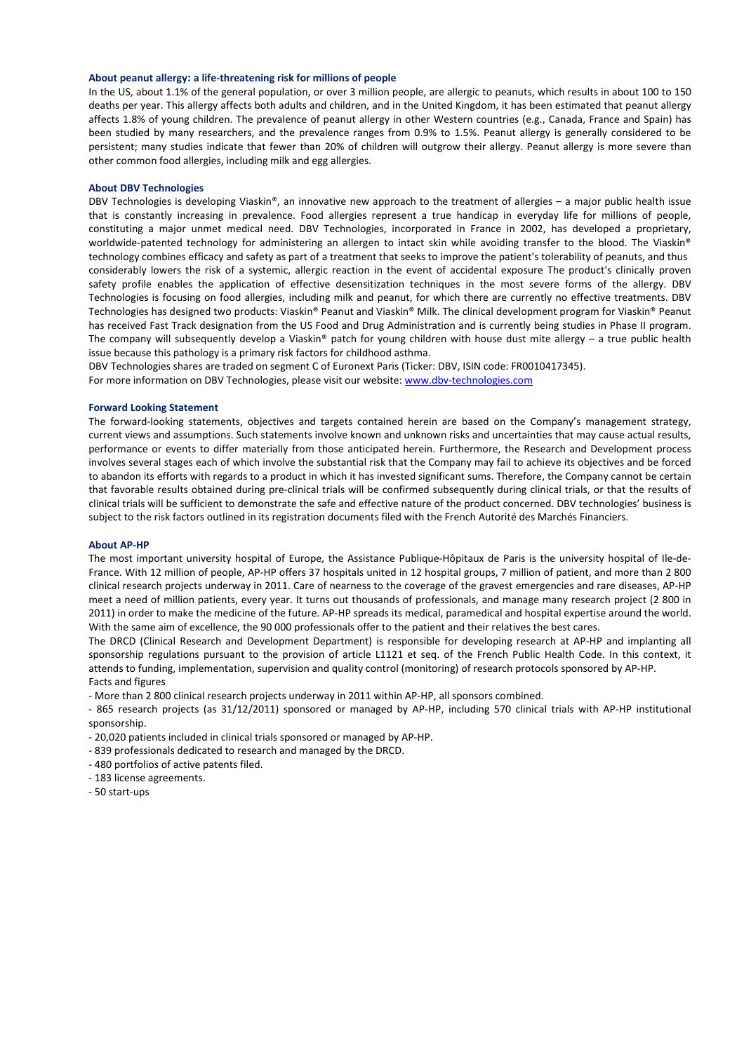## **About peanut allergy: a life-threatening risk for millions of people**

In the US, about 1.1% of the general population, or over 3 million people, are allergic to peanuts, which results in about 100 to 150 deaths per year. This allergy affects both adults and children, and in the United Kingdom, it has been estimated that peanut allergy affects 1.8% of young children. The prevalence of peanut allergy in other Western countries (e.g., Canada, France and Spain) has been studied by many researchers, and the prevalence ranges from 0.9% to 1.5%. Peanut allergy is generally considered to be persistent; many studies indicate that fewer than 20% of children will outgrow their allergy. Peanut allergy is more severe than other common food allergies, including milk and egg allergies.

#### **About DBV Technologies**

DBV Technologies is developing Viaskin®, an innovative new approach to the treatment of allergies – a major public health issue that is constantly increasing in prevalence. Food allergies represent a true handicap in everyday life for millions of people, constituting a major unmet medical need. DBV Technologies, incorporated in France in 2002, has developed a proprietary, worldwide-patented technology for administering an allergen to intact skin while avoiding transfer to the blood. The Viaskin® technology combines efficacy and safety as part of a treatment that seeks to improve the patient's tolerability of peanuts, and thus considerably lowers the risk of a systemic, allergic reaction in the event of accidental exposure The product's clinically proven safety profile enables the application of effective desensitization techniques in the most severe forms of the allergy. DBV Technologies is focusing on food allergies, including milk and peanut, for which there are currently no effective treatments. DBV Technologies has designed two products: Viaskin® Peanut and Viaskin® Milk. The clinical development program for Viaskin® Peanut has received Fast Track designation from the US Food and Drug Administration and is currently being studies in Phase II program. The company will subsequently develop a Viaskin® patch for young children with house dust mite allergy – a true public health issue because this pathology is a primary risk factors for childhood asthma.

DBV Technologies shares are traded on segment C of Euronext Paris (Ticker: DBV, ISIN code: FR0010417345).

For more information on DBV Technologies, please visit our website: www.dbv-technologies.com

## **Forward Looking Statement**

The forward-looking statements, objectives and targets contained herein are based on the Company's management strategy, current views and assumptions. Such statements involve known and unknown risks and uncertainties that may cause actual results, performance or events to differ materially from those anticipated herein. Furthermore, the Research and Development process involves several stages each of which involve the substantial risk that the Company may fail to achieve its objectives and be forced to abandon its efforts with regards to a product in which it has invested significant sums. Therefore, the Company cannot be certain that favorable results obtained during pre-clinical trials will be confirmed subsequently during clinical trials, or that the results of clinical trials will be sufficient to demonstrate the safe and effective nature of the product concerned. DBV technologies' business is subject to the risk factors outlined in its registration documents filed with the French Autorité des Marchés Financiers.

#### **About AP-HP**

The most important university hospital of Europe, the Assistance Publique-Hôpitaux de Paris is the university hospital of Ile-de-France. With 12 million of people, AP-HP offers 37 hospitals united in 12 hospital groups, 7 million of patient, and more than 2 800 clinical research projects underway in 2011. Care of nearness to the coverage of the gravest emergencies and rare diseases, AP-HP meet a need of million patients, every year. It turns out thousands of professionals, and manage many research project (2 800 in 2011) in order to make the medicine of the future. AP-HP spreads its medical, paramedical and hospital expertise around the world. With the same aim of excellence, the 90 000 professionals offer to the patient and their relatives the best cares.

The DRCD (Clinical Research and Development Department) is responsible for developing research at AP-HP and implanting all sponsorship regulations pursuant to the provision of article L1121 et seq. of the French Public Health Code. In this context, it attends to funding, implementation, supervision and quality control (monitoring) of research protocols sponsored by AP-HP. Facts and figures

- More than 2 800 clinical research projects underway in 2011 within AP-HP, all sponsors combined.

- 865 research projects (as 31/12/2011) sponsored or managed by AP-HP, including 570 clinical trials with AP-HP institutional sponsorship.

- 20,020 patients included in clinical trials sponsored or managed by AP-HP.

- 839 professionals dedicated to research and managed by the DRCD.

- 480 portfolios of active patents filed.

- 183 license agreements.

- 50 start-ups